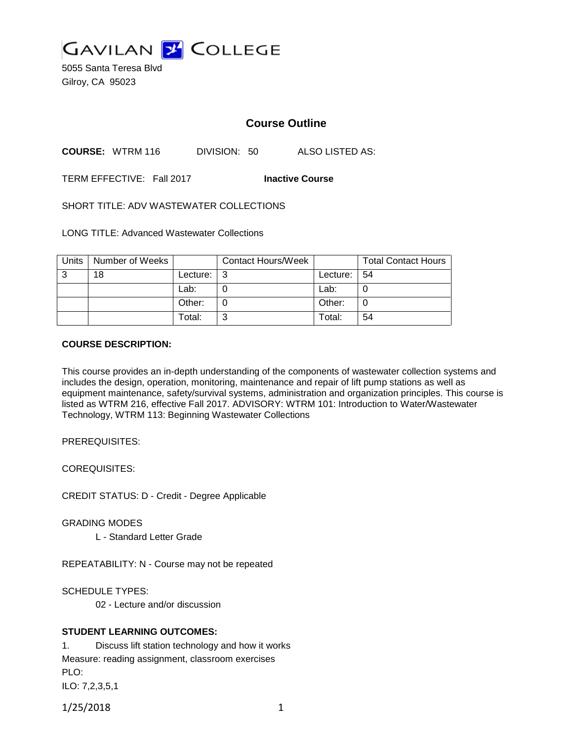

5055 Santa Teresa Blvd Gilroy, CA 95023

# **Course Outline**

**COURSE:** WTRM 116 DIVISION: 50 ALSO LISTED AS:

TERM EFFECTIVE: Fall 2017 **Inactive Course**

SHORT TITLE: ADV WASTEWATER COLLECTIONS

LONG TITLE: Advanced Wastewater Collections

| Units | Number of Weeks |          | <b>Contact Hours/Week</b> |             | <b>Total Contact Hours</b> |
|-------|-----------------|----------|---------------------------|-------------|----------------------------|
| 3     | 18              | Lecture: | l 3                       | Lecture: 54 |                            |
|       |                 | Lab:     |                           | Lab:        |                            |
|       |                 | Other:   |                           | Other:      |                            |
|       |                 | Total:   | ົ                         | Total:      | 54                         |

#### **COURSE DESCRIPTION:**

This course provides an in-depth understanding of the components of wastewater collection systems and includes the design, operation, monitoring, maintenance and repair of lift pump stations as well as equipment maintenance, safety/survival systems, administration and organization principles. This course is listed as WTRM 216, effective Fall 2017. ADVISORY: WTRM 101: Introduction to Water/Wastewater Technology, WTRM 113: Beginning Wastewater Collections

PREREQUISITES:

COREQUISITES:

CREDIT STATUS: D - Credit - Degree Applicable

GRADING MODES

L - Standard Letter Grade

REPEATABILITY: N - Course may not be repeated

SCHEDULE TYPES:

02 - Lecture and/or discussion

### **STUDENT LEARNING OUTCOMES:**

1. Discuss lift station technology and how it works Measure: reading assignment, classroom exercises PLO: ILO: 7,2,3,5,1

1/25/2018 1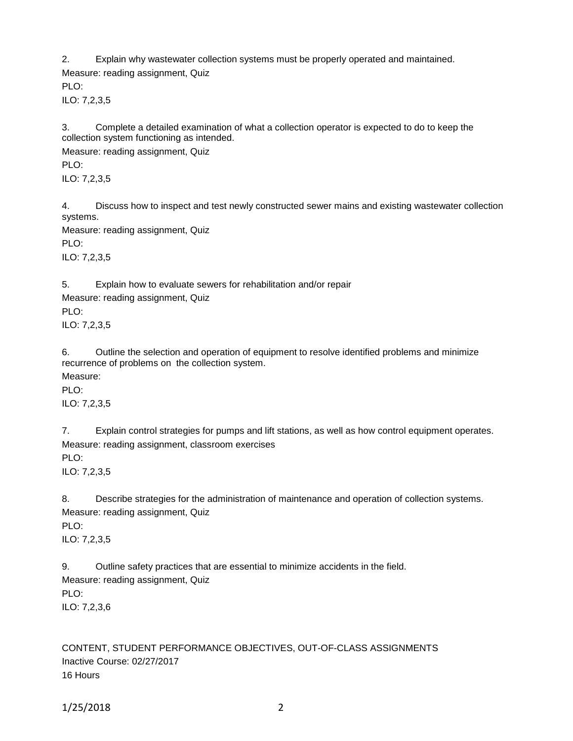2. Explain why wastewater collection systems must be properly operated and maintained. Measure: reading assignment, Quiz PLO:

ILO: 7,2,3,5

3. Complete a detailed examination of what a collection operator is expected to do to keep the collection system functioning as intended.

Measure: reading assignment, Quiz PLO: ILO: 7,2,3,5

4. Discuss how to inspect and test newly constructed sewer mains and existing wastewater collection systems.

Measure: reading assignment, Quiz

PLO:

ILO: 7,2,3,5

5. Explain how to evaluate sewers for rehabilitation and/or repair

Measure: reading assignment, Quiz

PLO:

ILO: 7,2,3,5

6. Outline the selection and operation of equipment to resolve identified problems and minimize recurrence of problems on the collection system.

Measure:

PLO:

ILO: 7,2,3,5

7. Explain control strategies for pumps and lift stations, as well as how control equipment operates. Measure: reading assignment, classroom exercises

PLO:

ILO: 7,2,3,5

8. Describe strategies for the administration of maintenance and operation of collection systems. Measure: reading assignment, Quiz

PLO:

ILO: 7,2,3,5

9. Outline safety practices that are essential to minimize accidents in the field. Measure: reading assignment, Quiz PLO: ILO: 7,2,3,6

CONTENT, STUDENT PERFORMANCE OBJECTIVES, OUT-OF-CLASS ASSIGNMENTS Inactive Course: 02/27/2017 16 Hours

1/25/2018 2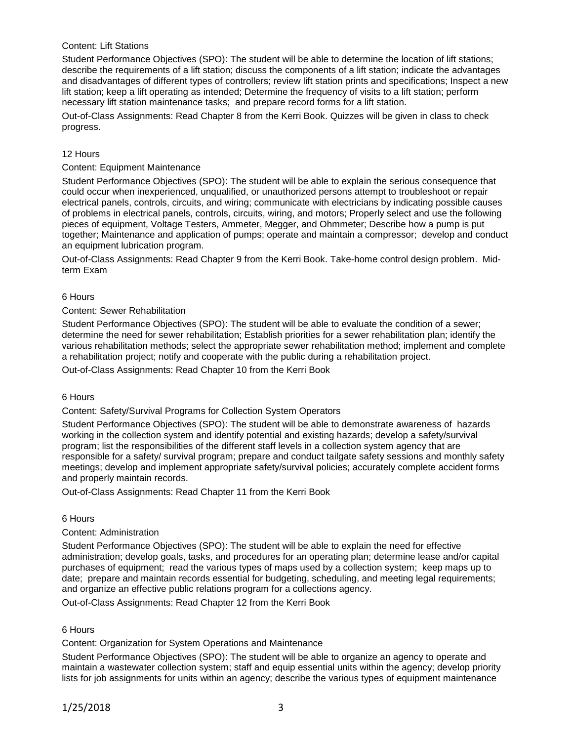### Content: Lift Stations

Student Performance Objectives (SPO): The student will be able to determine the location of lift stations; describe the requirements of a lift station; discuss the components of a lift station; indicate the advantages and disadvantages of different types of controllers; review lift station prints and specifications; Inspect a new lift station; keep a lift operating as intended; Determine the frequency of visits to a lift station; perform necessary lift station maintenance tasks; and prepare record forms for a lift station.

Out-of-Class Assignments: Read Chapter 8 from the Kerri Book. Quizzes will be given in class to check progress.

### 12 Hours

#### Content: Equipment Maintenance

Student Performance Objectives (SPO): The student will be able to explain the serious consequence that could occur when inexperienced, unqualified, or unauthorized persons attempt to troubleshoot or repair electrical panels, controls, circuits, and wiring; communicate with electricians by indicating possible causes of problems in electrical panels, controls, circuits, wiring, and motors; Properly select and use the following pieces of equipment, Voltage Testers, Ammeter, Megger, and Ohmmeter; Describe how a pump is put together; Maintenance and application of pumps; operate and maintain a compressor; develop and conduct an equipment lubrication program.

Out-of-Class Assignments: Read Chapter 9 from the Kerri Book. Take-home control design problem. Midterm Exam

#### 6 Hours

#### Content: Sewer Rehabilitation

Student Performance Objectives (SPO): The student will be able to evaluate the condition of a sewer; determine the need for sewer rehabilitation; Establish priorities for a sewer rehabilitation plan; identify the various rehabilitation methods; select the appropriate sewer rehabilitation method; implement and complete a rehabilitation project; notify and cooperate with the public during a rehabilitation project.

Out-of-Class Assignments: Read Chapter 10 from the Kerri Book

#### 6 Hours

#### Content: Safety/Survival Programs for Collection System Operators

Student Performance Objectives (SPO): The student will be able to demonstrate awareness of hazards working in the collection system and identify potential and existing hazards; develop a safety/survival program; list the responsibilities of the different staff levels in a collection system agency that are responsible for a safety/ survival program; prepare and conduct tailgate safety sessions and monthly safety meetings; develop and implement appropriate safety/survival policies; accurately complete accident forms and properly maintain records.

Out-of-Class Assignments: Read Chapter 11 from the Kerri Book

#### 6 Hours

### Content: Administration

Student Performance Objectives (SPO): The student will be able to explain the need for effective administration; develop goals, tasks, and procedures for an operating plan; determine lease and/or capital purchases of equipment; read the various types of maps used by a collection system; keep maps up to date; prepare and maintain records essential for budgeting, scheduling, and meeting legal requirements; and organize an effective public relations program for a collections agency.

Out-of-Class Assignments: Read Chapter 12 from the Kerri Book

#### 6 Hours

#### Content: Organization for System Operations and Maintenance

Student Performance Objectives (SPO): The student will be able to organize an agency to operate and maintain a wastewater collection system; staff and equip essential units within the agency; develop priority lists for job assignments for units within an agency; describe the various types of equipment maintenance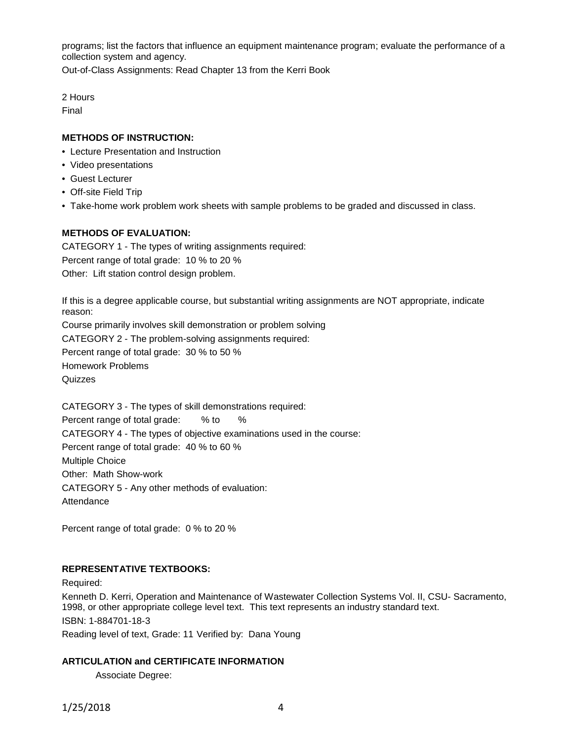programs; list the factors that influence an equipment maintenance program; evaluate the performance of a collection system and agency.

Out-of-Class Assignments: Read Chapter 13 from the Kerri Book

2 Hours

Final

# **METHODS OF INSTRUCTION:**

- Lecture Presentation and Instruction
- Video presentations
- Guest Lecturer
- Off-site Field Trip
- Take-home work problem work sheets with sample problems to be graded and discussed in class.

# **METHODS OF EVALUATION:**

CATEGORY 1 - The types of writing assignments required: Percent range of total grade: 10 % to 20 % Other: Lift station control design problem.

If this is a degree applicable course, but substantial writing assignments are NOT appropriate, indicate reason: Course primarily involves skill demonstration or problem solving CATEGORY 2 - The problem-solving assignments required: Percent range of total grade: 30 % to 50 % Homework Problems **Quizzes** 

CATEGORY 3 - The types of skill demonstrations required: Percent range of total grade: % to % CATEGORY 4 - The types of objective examinations used in the course: Percent range of total grade: 40 % to 60 % Multiple Choice Other: Math Show-work CATEGORY 5 - Any other methods of evaluation: Attendance

Percent range of total grade: 0 % to 20 %

# **REPRESENTATIVE TEXTBOOKS:**

Required:

Kenneth D. Kerri, Operation and Maintenance of Wastewater Collection Systems Vol. II, CSU- Sacramento, 1998, or other appropriate college level text. This text represents an industry standard text. ISBN: 1-884701-18-3

Reading level of text, Grade: 11 Verified by: Dana Young

# **ARTICULATION and CERTIFICATE INFORMATION**

Associate Degree:

1/25/2018 4